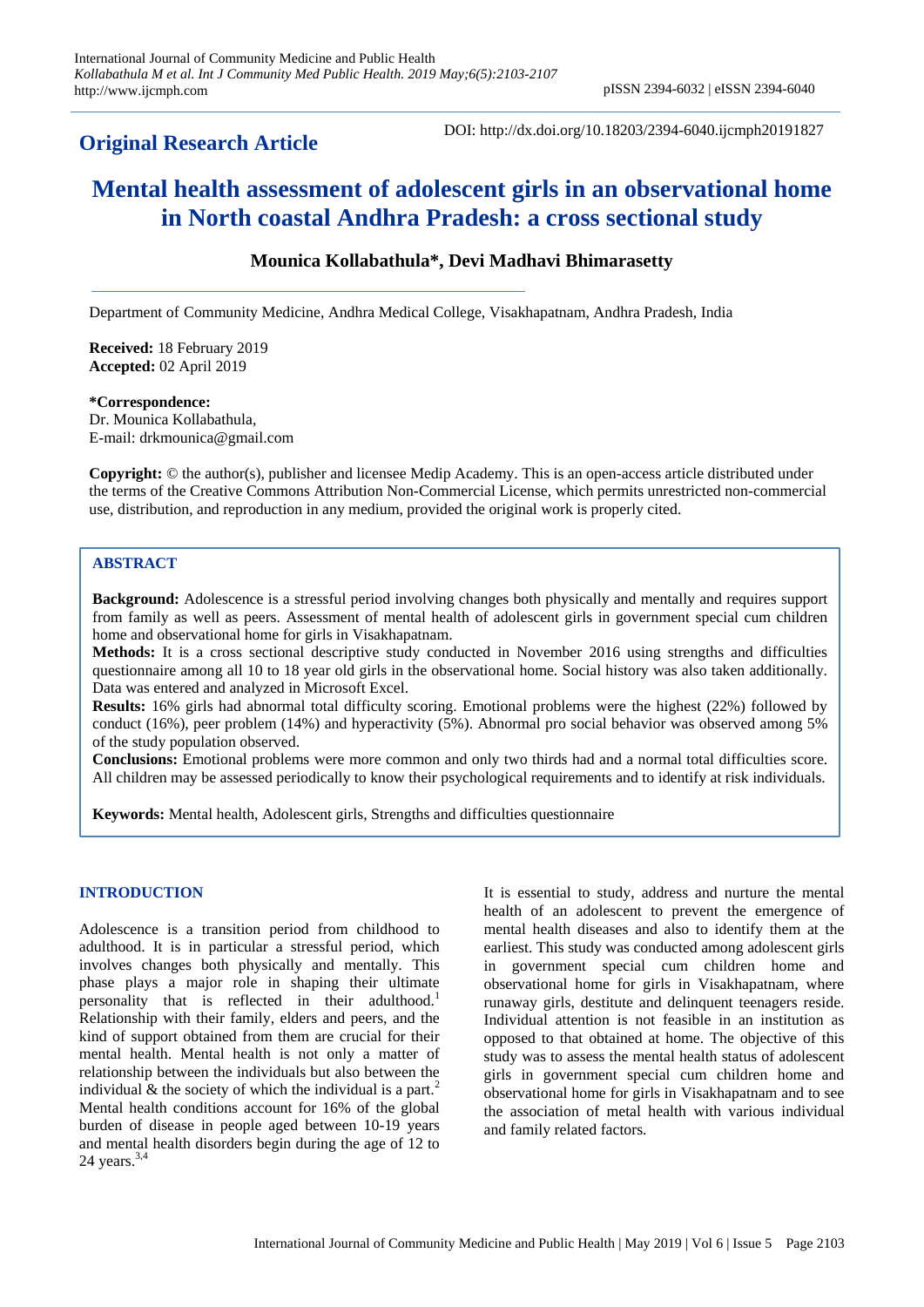## **Original Research Article**

DOI: http://dx.doi.org/10.18203/2394-6040.ijcmph20191827

# **Mental health assessment of adolescent girls in an observational home in North coastal Andhra Pradesh: a cross sectional study**

### **Mounica Kollabathula\*, Devi Madhavi Bhimarasetty**

Department of Community Medicine, Andhra Medical College, Visakhapatnam, Andhra Pradesh, India

**Received:** 18 February 2019 **Accepted:** 02 April 2019

#### **\*Correspondence:**

Dr. Mounica Kollabathula, E-mail: drkmounica@gmail.com

**Copyright:** © the author(s), publisher and licensee Medip Academy. This is an open-access article distributed under the terms of the Creative Commons Attribution Non-Commercial License, which permits unrestricted non-commercial use, distribution, and reproduction in any medium, provided the original work is properly cited.

#### **ABSTRACT**

**Background:** Adolescence is a stressful period involving changes both physically and mentally and requires support from family as well as peers. Assessment of mental health of adolescent girls in government special cum children home and observational home for girls in Visakhapatnam.

**Methods:** It is a cross sectional descriptive study conducted in November 2016 using strengths and difficulties questionnaire among all 10 to 18 year old girls in the observational home. Social history was also taken additionally. Data was entered and analyzed in Microsoft Excel.

**Results:** 16% girls had abnormal total difficulty scoring. Emotional problems were the highest (22%) followed by conduct (16%), peer problem (14%) and hyperactivity (5%). Abnormal pro social behavior was observed among 5% of the study population observed.

**Conclusions:** Emotional problems were more common and only two thirds had and a normal total difficulties score. All children may be assessed periodically to know their psychological requirements and to identify at risk individuals.

**Keywords:** Mental health, Adolescent girls, Strengths and difficulties questionnaire

#### **INTRODUCTION**

Adolescence is a transition period from childhood to adulthood. It is in particular a stressful period, which involves changes both physically and mentally. This phase plays a major role in shaping their ultimate personality that is reflected in their adulthood.<sup>1</sup> Relationship with their family, elders and peers, and the kind of support obtained from them are crucial for their mental health. Mental health is not only a matter of relationship between the individuals but also between the individual  $\&$  the society of which the individual is a part.<sup>2</sup> Mental health conditions account for 16% of the global burden of disease in people aged between 10-19 years and mental health disorders begin during the age of 12 to 24 years. $3,4$ 

It is essential to study, address and nurture the mental health of an adolescent to prevent the emergence of mental health diseases and also to identify them at the earliest. This study was conducted among adolescent girls in government special cum children home and observational home for girls in Visakhapatnam, where runaway girls, destitute and delinquent teenagers reside. Individual attention is not feasible in an institution as opposed to that obtained at home. The objective of this study was to assess the mental health status of adolescent girls in government special cum children home and observational home for girls in Visakhapatnam and to see the association of metal health with various individual and family related factors.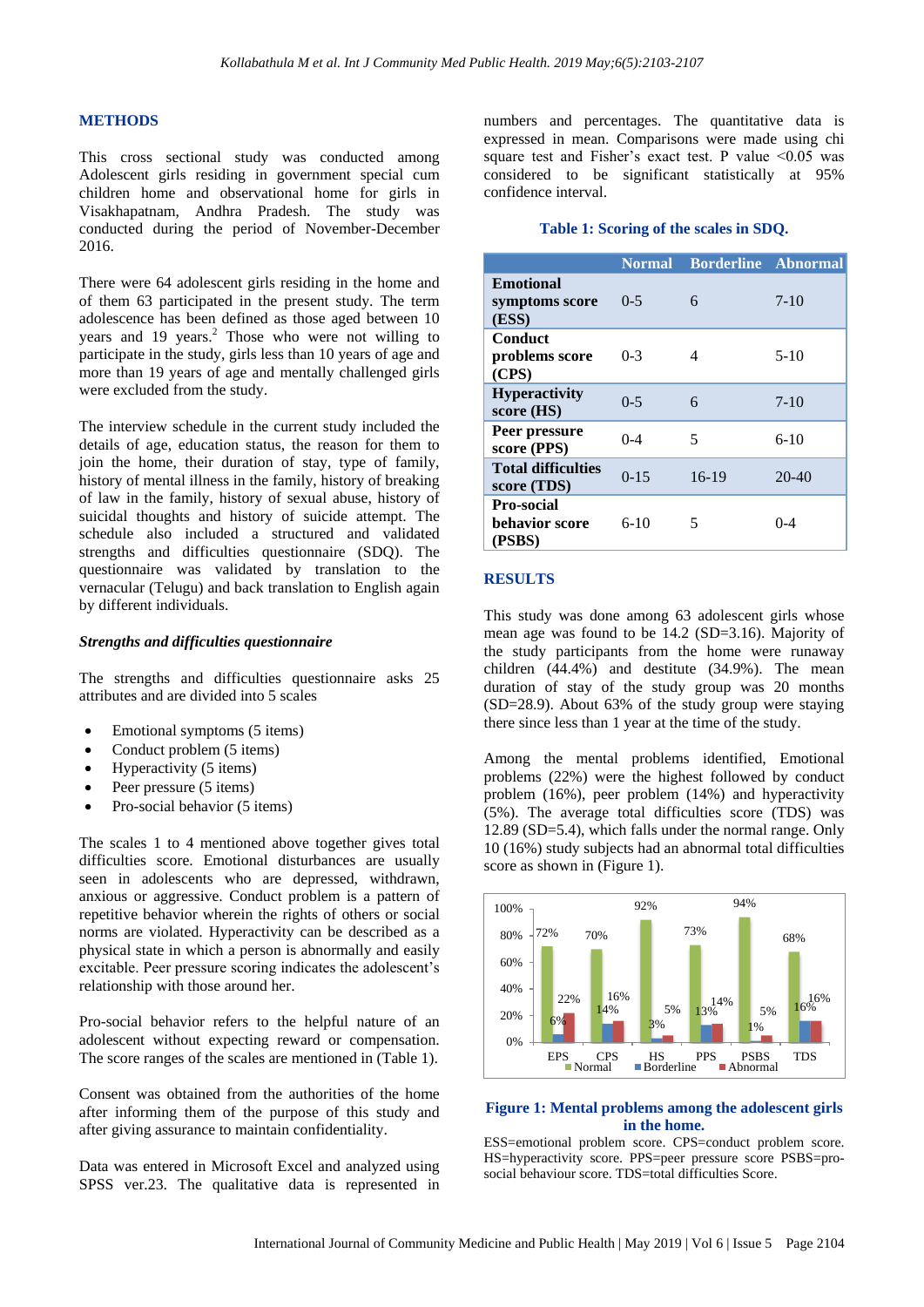#### **METHODS**

This cross sectional study was conducted among Adolescent girls residing in government special cum children home and observational home for girls in Visakhapatnam, Andhra Pradesh. The study was conducted during the period of November-December 2016.

There were 64 adolescent girls residing in the home and of them 63 participated in the present study. The term adolescence has been defined as those aged between 10 years and 19 years.<sup>2</sup> Those who were not willing to participate in the study, girls less than 10 years of age and more than 19 years of age and mentally challenged girls were excluded from the study.

The interview schedule in the current study included the details of age, education status, the reason for them to join the home, their duration of stay, type of family, history of mental illness in the family, history of breaking of law in the family, history of sexual abuse, history of suicidal thoughts and history of suicide attempt. The schedule also included a structured and validated strengths and difficulties questionnaire (SDQ). The questionnaire was validated by translation to the vernacular (Telugu) and back translation to English again by different individuals.

#### *Strengths and difficulties questionnaire*

The strengths and difficulties questionnaire asks 25 attributes and are divided into 5 scales

- Emotional symptoms (5 items)
- Conduct problem (5 items)
- Hyperactivity (5 items)
- Peer pressure (5 items)
- Pro-social behavior (5 items)

The scales 1 to 4 mentioned above together gives total difficulties score. Emotional disturbances are usually seen in adolescents who are depressed, withdrawn, anxious or aggressive. Conduct problem is a pattern of repetitive behavior wherein the rights of others or social norms are violated. Hyperactivity can be described as a physical state in which a person is abnormally and easily excitable. Peer pressure scoring indicates the adolescent's relationship with those around her.

Pro-social behavior refers to the helpful nature of an adolescent without expecting reward or compensation. The score ranges of the scales are mentioned in (Table 1).

Consent was obtained from the authorities of the home after informing them of the purpose of this study and after giving assurance to maintain confidentiality.

Data was entered in Microsoft Excel and analyzed using SPSS ver.23. The qualitative data is represented in numbers and percentages. The quantitative data is expressed in mean. Comparisons were made using chi square test and Fisher's exact test. P value  $\leq 0.05$  was considered to be significant statistically at 95% confidence interval.

#### **Table 1: Scoring of the scales in SDQ.**

|                                             | <b>Normal</b> | <b>Borderline</b> Abnormal |           |
|---------------------------------------------|---------------|----------------------------|-----------|
| <b>Emotional</b><br>symptoms score<br>(ESS) | $0 - 5$       | 6                          | $7-10$    |
| Conduct<br>problems score<br>(CPS)          | $0-3$         | 4                          | $5-10$    |
| <b>Hyperactivity</b><br>score (HS)          | $0 - 5$       | 6                          | $7-10$    |
| Peer pressure<br>score (PPS)                | $0 - 4$       | 5                          | $6-10$    |
| <b>Total difficulties</b><br>score (TDS)    | $0 - 15$      | $16-19$                    | $20 - 40$ |
| Pro-social<br>behavior score<br>(PSBS)      | $6-10$        | 5                          | 0-4       |

#### **RESULTS**

This study was done among 63 adolescent girls whose mean age was found to be 14.2 (SD=3.16). Majority of the study participants from the home were runaway children (44.4%) and destitute (34.9%). The mean duration of stay of the study group was 20 months (SD=28.9). About 63% of the study group were staying there since less than 1 year at the time of the study.

Among the mental problems identified, Emotional problems (22%) were the highest followed by conduct problem (16%), peer problem (14%) and hyperactivity (5%). The average total difficulties score (TDS) was 12.89 (SD=5.4), which falls under the normal range. Only 10 (16%) study subjects had an abnormal total difficulties score as shown in (Figure 1).



#### **Figure 1: Mental problems among the adolescent girls in the home.**

ESS=emotional problem score. CPS=conduct problem score. HS=hyperactivity score. PPS=peer pressure score PSBS=prosocial behaviour score. TDS=total difficulties Score.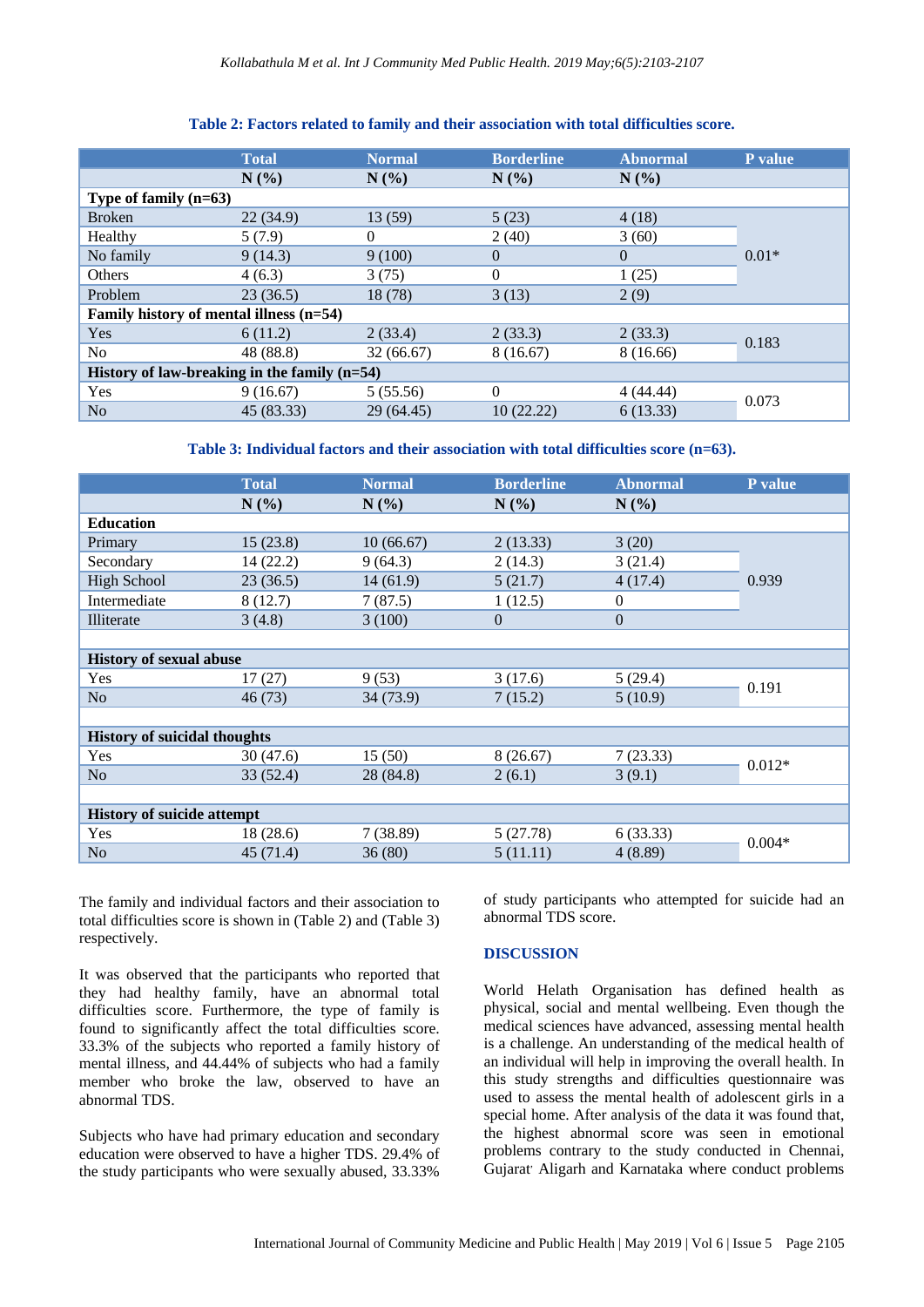|                                                | <b>Total</b> | <b>Normal</b> | <b>Borderline</b> | <b>Abnormal</b> | P value |  |
|------------------------------------------------|--------------|---------------|-------------------|-----------------|---------|--|
|                                                | N(%          | N(%)          | N(%)              | N(%)            |         |  |
| Type of family $(n=63)$                        |              |               |                   |                 |         |  |
| <b>Broken</b>                                  | 22(34.9)     | 13 (59)       | 5(23)             | 4(18)           | $0.01*$ |  |
| Healthy                                        | 5(7.9)       | $\left($      | 2(40)             | 3(60)           |         |  |
| No family                                      | 9(14.3)      | 9(100)        | $\theta$          | $\Omega$        |         |  |
| Others                                         | 4(6.3)       | 3(75)         | $\Omega$          | 1(25)           |         |  |
| Problem                                        | 23(36.5)     | 18 (78)       | 3(13)             | 2(9)            |         |  |
| Family history of mental illness (n=54)        |              |               |                   |                 |         |  |
| Yes                                            | 6(11.2)      | 2(33.4)       | 2(33.3)           | 2(33.3)         | 0.183   |  |
| No                                             | 48 (88.8)    | 32(66.67)     | 8(16.67)          | 8 (16.66)       |         |  |
| History of law-breaking in the family $(n=54)$ |              |               |                   |                 |         |  |
| Yes                                            | 9(16.67)     | 5(55.56)      | $\Omega$          | 4(44.44)        | 0.073   |  |
| No                                             | 45 (83.33)   | 29 (64.45)    | 10(22.22)         | 6(13.33)        |         |  |

#### **Table 2: Factors related to family and their association with total difficulties score.**

**Table 3: Individual factors and their association with total difficulties score (n=63).**

|                                     | <b>Total</b> | <b>Normal</b> | <b>Borderline</b> | <b>Abnormal</b> | P value  |  |
|-------------------------------------|--------------|---------------|-------------------|-----------------|----------|--|
|                                     | N(%)         | N(%)          | N(%)              | $N(\%)$         |          |  |
| <b>Education</b>                    |              |               |                   |                 |          |  |
| Primary                             | 15(23.8)     | 10(66.67)     | 2(13.33)          | 3(20)           | 0.939    |  |
| Secondary                           | 14 (22.2)    | 9(64.3)       | 2(14.3)           | 3(21.4)         |          |  |
| <b>High School</b>                  | 23(36.5)     | 14(61.9)      | 5(21.7)           | 4(17.4)         |          |  |
| Intermediate                        | 8(12.7)      | 7(87.5)       | 1(12.5)           | $\theta$        |          |  |
| Illiterate                          | 3(4.8)       | 3(100)        | $\overline{0}$    | $\theta$        |          |  |
|                                     |              |               |                   |                 |          |  |
| <b>History of sexual abuse</b>      |              |               |                   |                 |          |  |
| Yes                                 | 17(27)       | 9(53)         | 3(17.6)           | 5(29.4)         | 0.191    |  |
| N <sub>o</sub>                      | 46 (73)      | 34 (73.9)     | 7(15.2)           | 5(10.9)         |          |  |
|                                     |              |               |                   |                 |          |  |
| <b>History of suicidal thoughts</b> |              |               |                   |                 |          |  |
| Yes                                 | 30(47.6)     | 15(50)        | 8(26.67)          | 7(23.33)        | $0.012*$ |  |
| No                                  | 33(52.4)     | 28 (84.8)     | 2(6.1)            | 3(9.1)          |          |  |
|                                     |              |               |                   |                 |          |  |
| <b>History of suicide attempt</b>   |              |               |                   |                 |          |  |
| Yes                                 | 18 (28.6)    | 7(38.89)      | 5(27.78)          | 6(33.33)        | $0.004*$ |  |
| N <sub>o</sub>                      | 45 (71.4)    | 36(80)        | 5(11.11)          | 4(8.89)         |          |  |

The family and individual factors and their association to total difficulties score is shown in (Table 2) and (Table 3) respectively.

It was observed that the participants who reported that they had healthy family, have an abnormal total difficulties score. Furthermore, the type of family is found to significantly affect the total difficulties score. 33.3% of the subjects who reported a family history of mental illness, and 44.44% of subjects who had a family member who broke the law, observed to have an abnormal TDS.

Subjects who have had primary education and secondary education were observed to have a higher TDS. 29.4% of the study participants who were sexually abused, 33.33%

of study participants who attempted for suicide had an abnormal TDS score.

#### **DISCUSSION**

World Helath Organisation has defined health as physical, social and mental wellbeing. Even though the medical sciences have advanced, assessing mental health is a challenge. An understanding of the medical health of an individual will help in improving the overall health. In this study strengths and difficulties questionnaire was used to assess the mental health of adolescent girls in a special home. After analysis of the data it was found that, the highest abnormal score was seen in emotional problems contrary to the study conducted in Chennai, Gujarat<sup>,</sup> Aligarh and Karnataka where conduct problems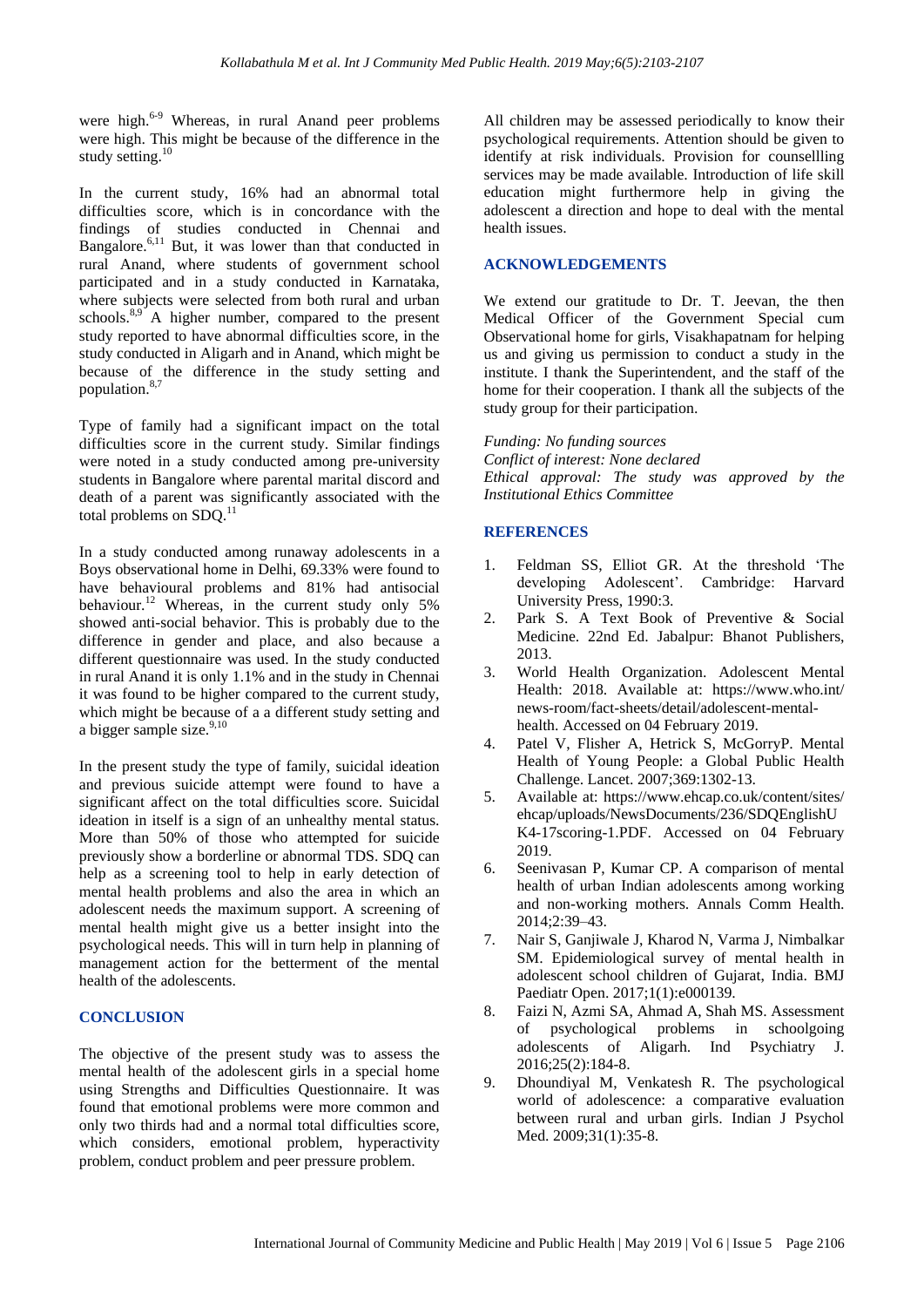were high.<sup>6-9</sup> Whereas, in rural Anand peer problems were high. This might be because of the difference in the study setting.<sup>10</sup>

In the current study, 16% had an abnormal total difficulties score, which is in concordance with the findings of studies conducted in Chennai and Bangalore.<sup>6,11</sup> But, it was lower than that conducted in rural Anand, where students of government school participated and in a study conducted in Karnataka, where subjects were selected from both rural and urban schools. $8.9^{\circ}$  A higher number, compared to the present study reported to have abnormal difficulties score, in the study conducted in Aligarh and in Anand, which might be because of the difference in the study setting and population.<sup>8,7</sup>

Type of family had a significant impact on the total difficulties score in the current study. Similar findings were noted in a study conducted among pre-university students in Bangalore where parental marital discord and death of a parent was significantly associated with the total problems on SDO.<sup>1</sup>

In a study conducted among runaway adolescents in a Boys observational home in Delhi, 69.33% were found to have behavioural problems and 81% had antisocial behaviour.<sup>12</sup> Whereas, in the current study only 5% showed anti-social behavior. This is probably due to the difference in gender and place, and also because a different questionnaire was used. In the study conducted in rural Anand it is only 1.1% and in the study in Chennai it was found to be higher compared to the current study, which might be because of a a different study setting and a bigger sample size.<sup>9,10</sup>

In the present study the type of family, suicidal ideation and previous suicide attempt were found to have a significant affect on the total difficulties score. Suicidal ideation in itself is a sign of an unhealthy mental status. More than 50% of those who attempted for suicide previously show a borderline or abnormal TDS. SDQ can help as a screening tool to help in early detection of mental health problems and also the area in which an adolescent needs the maximum support. A screening of mental health might give us a better insight into the psychological needs. This will in turn help in planning of management action for the betterment of the mental health of the adolescents.

#### **CONCLUSION**

The objective of the present study was to assess the mental health of the adolescent girls in a special home using Strengths and Difficulties Questionnaire. It was found that emotional problems were more common and only two thirds had and a normal total difficulties score, which considers, emotional problem, hyperactivity problem, conduct problem and peer pressure problem.

All children may be assessed periodically to know their psychological requirements. Attention should be given to identify at risk individuals. Provision for counsellling services may be made available. Introduction of life skill education might furthermore help in giving the adolescent a direction and hope to deal with the mental health issues.

#### **ACKNOWLEDGEMENTS**

We extend our gratitude to Dr. T. Jeevan, the then Medical Officer of the Government Special cum Observational home for girls, Visakhapatnam for helping us and giving us permission to conduct a study in the institute. I thank the Superintendent, and the staff of the home for their cooperation. I thank all the subjects of the study group for their participation.

*Funding: No funding sources Conflict of interest: None declared Ethical approval: The study was approved by the Institutional Ethics Committee*

#### **REFERENCES**

- 1. Feldman SS, Elliot GR. At the threshold 'The developing Adolescent'. Cambridge: Harvard University Press, 1990:3.
- 2. Park S. A Text Book of Preventive & Social Medicine. 22nd Ed. Jabalpur: Bhanot Publishers, 2013.
- 3. World Health Organization. Adolescent Mental Health: 2018. Available at: https://www.who.int/ news-room/fact-sheets/detail/adolescent-mentalhealth. Accessed on 04 February 2019.
- 4. Patel V, Flisher A, Hetrick S, McGorryP. Mental Health of Young People: a Global Public Health Challenge. Lancet. 2007;369:1302-13.
- 5. Available at: https://www.ehcap.co.uk/content/sites/ ehcap/uploads/NewsDocuments/236/SDQEnglishU K4-17scoring-1.PDF. Accessed on 04 February 2019.
- 6. Seenivasan P, Kumar CP. A comparison of mental health of urban Indian adolescents among working and non-working mothers. Annals Comm Health. 2014;2:39–43.
- 7. Nair S, Ganjiwale J, Kharod N, Varma J, Nimbalkar SM. Epidemiological survey of mental health in adolescent school children of Gujarat, India. BMJ Paediatr Open. 2017;1(1):e000139.
- 8. Faizi N, Azmi SA, Ahmad A, Shah MS. Assessment of psychological problems in schoolgoing adolescents of Aligarh. Ind Psychiatry J. 2016;25(2):184-8.
- 9. Dhoundiyal M, Venkatesh R. The psychological world of adolescence: a comparative evaluation between rural and urban girls. Indian J Psychol Med. 2009;31(1):35-8.